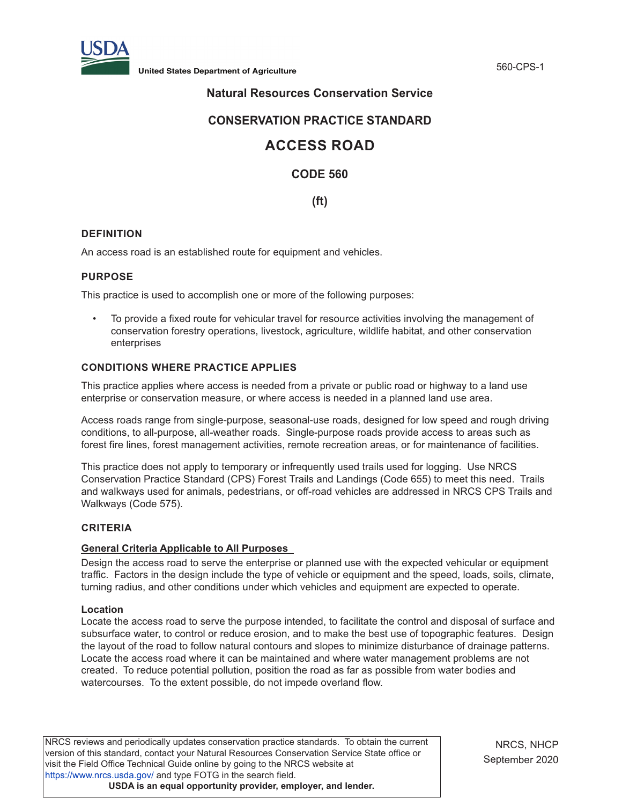

**United States Department of Agriculture** 560-CPS-1

## **Natural Resources Conservation Service**

## **CONSERVATION PRACTICE STANDARD**

# **ACCESS ROAD**

## **CODE 560**

**(ft)**

## **DEFINITION**

An access road is an established route for equipment and vehicles.

## **PURPOSE**

This practice is used to accomplish one or more of the following purposes:

• To provide a fixed route for vehicular travel for resource activities involving the management of conservation forestry operations, livestock, agriculture, wildlife habitat, and other conservation enterprises

## **CONDITIONS WHERE PRACTICE APPLIES**

This practice applies where access is needed from a private or public road or highway to a land use enterprise or conservation measure, or where access is needed in a planned land use area.

Access roads range from single-purpose, seasonal-use roads, designed for low speed and rough driving conditions, to all-purpose, all-weather roads. Single-purpose roads provide access to areas such as forest fire lines, forest management activities, remote recreation areas, or for maintenance of facilities.

This practice does not apply to temporary or infrequently used trails used for logging. Use NRCS Conservation Practice Standard (CPS) Forest Trails and Landings (Code 655) to meet this need. Trails and walkways used for animals, pedestrians, or off-road vehicles are addressed in NRCS CPS Trails and Walkways (Code 575).

## **CRITERIA**

#### **General Criteria Applicable to All Purposes**

Design the access road to serve the enterprise or planned use with the expected vehicular or equipment traffic. Factors in the design include the type of vehicle or equipment and the speed, loads, soils, climate, turning radius, and other conditions under which vehicles and equipment are expected to operate.

#### **Location**

Locate the access road to serve the purpose intended, to facilitate the control and disposal of surface and subsurface water, to control or reduce erosion, and to make the best use of topographic features. Design the layout of the road to follow natural contours and slopes to minimize disturbance of drainage patterns. Locate the access road where it can be maintained and where water management problems are not created. To reduce potential pollution, position the road as far as possible from water bodies and watercourses. To the extent possible, do not impede overland flow.

NRCS reviews and periodically updates conservation practice standards. To obtain the current version of this standard, contact your Natural Resources Conservation Service State office or visit the Field Office Technical Guide online by going to the NRCS website at <https://www.nrcs.usda.gov/>and type FOTG in the search field. **USDA is an equal opportunity provider, employer, and lender.**

NRCS, NHCP September 2020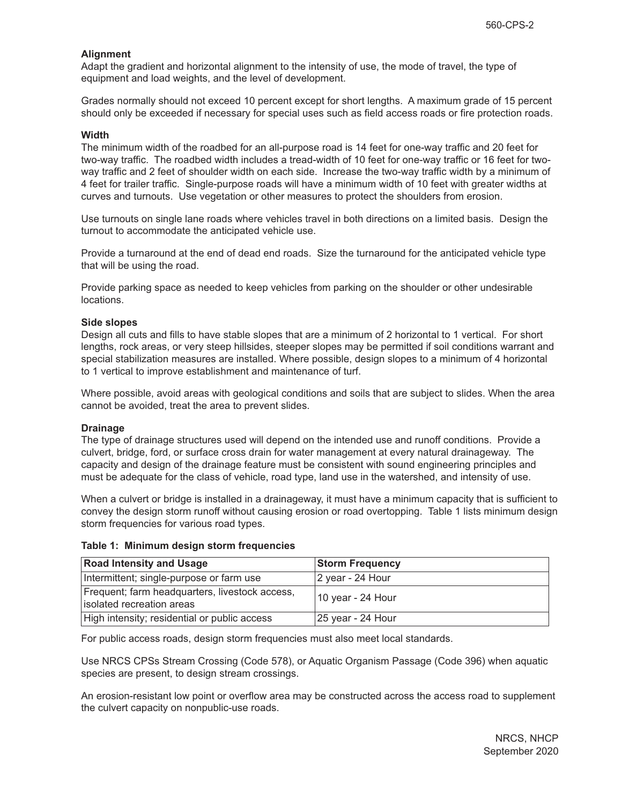## **Alignment**

Adapt the gradient and horizontal alignment to the intensity of use, the mode of travel, the type of equipment and load weights, and the level of development.

Grades normally should not exceed 10 percent except for short lengths. A maximum grade of 15 percent should only be exceeded if necessary for special uses such as field access roads or fire protection roads.

#### **Width**

The minimum width of the roadbed for an all-purpose road is 14 feet for one-way traffic and 20 feet for two-way traffic. The roadbed width includes a tread-width of 10 feet for one-way traffic or 16 feet for twoway traffic and 2 feet of shoulder width on each side. Increase the two-way traffic width by a minimum of 4 feet for trailer traffic. Single-purpose roads will have a minimum width of 10 feet with greater widths at curves and turnouts. Use vegetation or other measures to protect the shoulders from erosion.

Use turnouts on single lane roads where vehicles travel in both directions on a limited basis. Design the turnout to accommodate the anticipated vehicle use.

Provide a turnaround at the end of dead end roads. Size the turnaround for the anticipated vehicle type that will be using the road.

Provide parking space as needed to keep vehicles from parking on the shoulder or other undesirable locations.

#### **Side slopes**

Design all cuts and fills to have stable slopes that are a minimum of 2 horizontal to 1 vertical. For short lengths, rock areas, or very steep hillsides, steeper slopes may be permitted if soil conditions warrant and special stabilization measures are installed. Where possible, design slopes to a minimum of 4 horizontal to 1 vertical to improve establishment and maintenance of turf.

Where possible, avoid areas with geological conditions and soils that are subject to slides. When the area cannot be avoided, treat the area to prevent slides.

#### **Drainage**

The type of drainage structures used will depend on the intended use and runoff conditions. Provide a culvert, bridge, ford, or surface cross drain for water management at every natural drainageway. The capacity and design of the drainage feature must be consistent with sound engineering principles and must be adequate for the class of vehicle, road type, land use in the watershed, and intensity of use.

When a culvert or bridge is installed in a drainageway, it must have a minimum capacity that is sufficient to convey the design storm runoff without causing erosion or road overtopping. Table 1 lists minimum design storm frequencies for various road types.

#### **Table 1: Minimum design storm frequencies**

| <b>Road Intensity and Usage</b>                                             | <b>Storm Frequency</b> |
|-----------------------------------------------------------------------------|------------------------|
| Intermittent; single-purpose or farm use                                    | 2 year - 24 Hour       |
| Frequent; farm headquarters, livestock access,<br>isolated recreation areas | 10 year - 24 Hour      |
| High intensity; residential or public access                                | 25 year - 24 Hour      |

For public access roads, design storm frequencies must also meet local standards.

Use NRCS CPSs Stream Crossing (Code 578), or Aquatic Organism Passage (Code 396) when aquatic species are present, to design stream crossings.

An erosion-resistant low point or overflow area may be constructed across the access road to supplement the culvert capacity on nonpublic-use roads.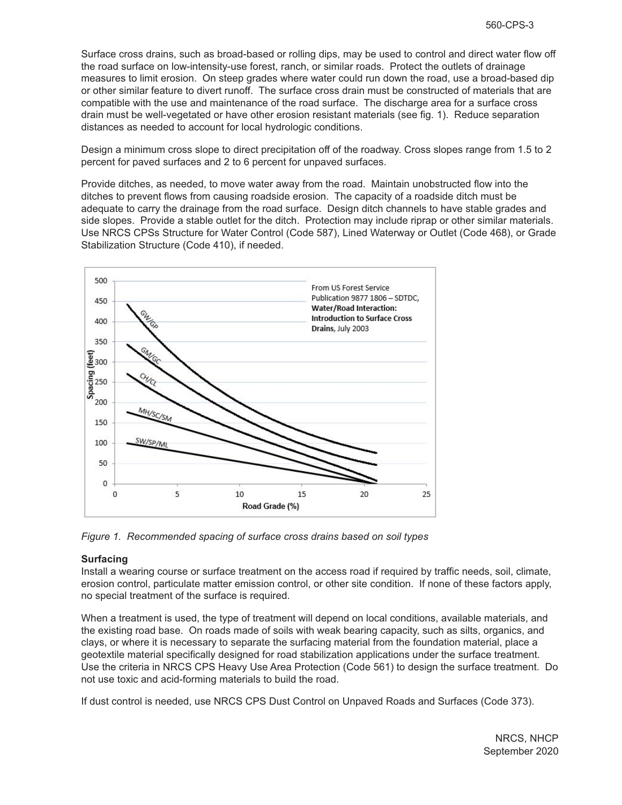Surface cross drains, such as broad-based or rolling dips, may be used to control and direct water flow off the road surface on low-intensity-use forest, ranch, or similar roads. Protect the outlets of drainage measures to limit erosion. On steep grades where water could run down the road, use a broad-based dip or other similar feature to divert runoff. The surface cross drain must be constructed of materials that are compatible with the use and maintenance of the road surface. The discharge area for a surface cross drain must be well-vegetated or have other erosion resistant materials (see fig. 1). Reduce separation distances as needed to account for local hydrologic conditions.

Design a minimum cross slope to direct precipitation off of the roadway. Cross slopes range from 1.5 to 2 percent for paved surfaces and 2 to 6 percent for unpaved surfaces.

Provide ditches, as needed, to move water away from the road. Maintain unobstructed flow into the ditches to prevent flows from causing roadside erosion. The capacity of a roadside ditch must be adequate to carry the drainage from the road surface. Design ditch channels to have stable grades and side slopes. Provide a stable outlet for the ditch. Protection may include riprap or other similar materials. Use NRCS CPSs Structure for Water Control (Code 587), Lined Waterway or Outlet (Code 468), or Grade Stabilization Structure (Code 410), if needed.



*Figure 1. Recommended spacing of surface cross drains based on soil types* 

#### **Surfacing**

Install a wearing course or surface treatment on the access road if required by traffic needs, soil, climate, erosion control, particulate matter emission control, or other site condition. If none of these factors apply, no special treatment of the surface is required.

When a treatment is used, the type of treatment will depend on local conditions, available materials, and the existing road base. On roads made of soils with weak bearing capacity, such as silts, organics, and clays, or where it is necessary to separate the surfacing material from the foundation material, place a geotextile material specifically designed for road stabilization applications under the surface treatment. Use the criteria in NRCS CPS Heavy Use Area Protection (Code 561) to design the surface treatment. Do not use toxic and acid-forming materials to build the road.

If dust control is needed, use NRCS CPS Dust Control on Unpaved Roads and Surfaces (Code 373).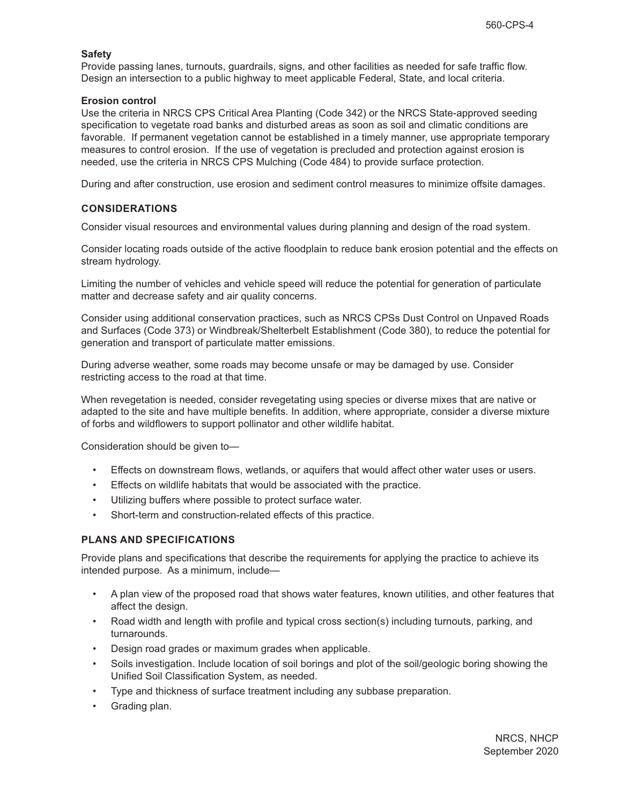## **Safety**

Provide passing lanes, turnouts, guardrails, signs, and other facilities as needed for safe traffic flow. Design an intersection to a public highway to meet applicable Federal, State, and local criteria.

## **Erosion control**

Use the criteria in NRCS CPS Critical Area Planting (Code 342) or the NRCS State-approved seeding specification to vegetate road banks and disturbed areas as soon as soil and climatic conditions are favorable. If permanent vegetation cannot be established in a timely manner, use appropriate temporary measures to control erosion. If the use of vegetation is precluded and protection against erosion is needed, use the criteria in NRCS CPS Mulching (Code 484) to provide surface protection.

During and after construction, use erosion and sediment control measures to minimize offsite damages.

## **CONSIDERATIONS**

Consider visual resources and environmental values during planning and design of the road system.

Consider locating roads outside of the active floodplain to reduce bank erosion potential and the effects on stream hydrology.

Limiting the number of vehicles and vehicle speed will reduce the potential for generation of particulate matter and decrease safety and air quality concerns.

Consider using additional conservation practices, such as NRCS CPSs Dust Control on Unpaved Roads and Surfaces (Code 373) or Windbreak/Shelterbelt Establishment (Code 380), to reduce the potential for generation and transport of particulate matter emissions.

During adverse weather, some roads may become unsafe or may be damaged by use. Consider restricting access to the road at that time.

When revegetation is needed, consider revegetating using species or diverse mixes that are native or adapted to the site and have multiple benefits. In addition, where appropriate, consider a diverse mixture of forbs and wildflowers to support pollinator and other wildlife habitat.

Consideration should be given to—

- Effects on downstream flows, wetlands, or aquifers that would affect other water uses or users.
- Effects on wildlife habitats that would be associated with the practice.
- Utilizing buffers where possible to protect surface water.
- Short-term and construction-related effects of this practice.

## **PLANS AND SPECIFICATIONS**

Provide plans and specifications that describe the requirements for applying the practice to achieve its intended purpose. As a minimum, include—

- A plan view of the proposed road that shows water features, known utilities, and other features that affect the design.
- Road width and length with profile and typical cross section(s) including turnouts, parking, and turnarounds.
- Design road grades or maximum grades when applicable.
- Soils investigation. Include location of soil borings and plot of the soil/geologic boring showing the Unified Soil Classification System, as needed.
- Type and thickness of surface treatment including any subbase preparation.
- Grading plan.